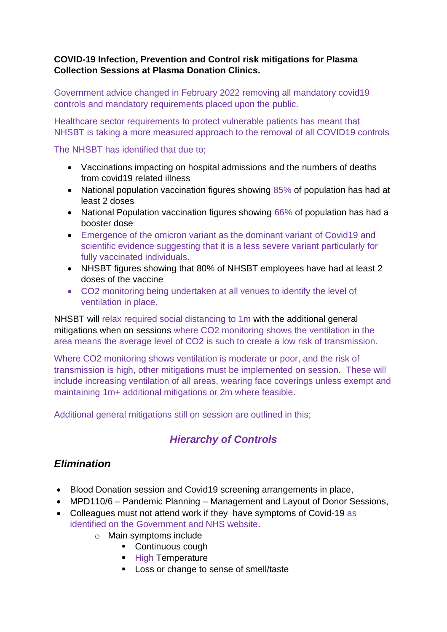#### **COVID-19 Infection, Prevention and Control risk mitigations for Plasma Collection Sessions at Plasma Donation Clinics.**

Government advice changed in February 2022 removing all mandatory covid19 controls and mandatory requirements placed upon the public.

Healthcare sector requirements to protect vulnerable patients has meant that NHSBT is taking a more measured approach to the removal of all COVID19 controls

The NHSBT has identified that due to;

- Vaccinations impacting on hospital admissions and the numbers of deaths from covid19 related illness
- National population vaccination figures showing 85% of population has had at least 2 doses
- National Population vaccination figures showing 66% of population has had a booster dose
- Emergence of the omicron variant as the dominant variant of Covid19 and scientific evidence suggesting that it is a less severe variant particularly for fully vaccinated individuals.
- NHSBT figures showing that 80% of NHSBT employees have had at least 2 doses of the vaccine
- CO2 monitoring being undertaken at all venues to identify the level of ventilation in place.

NHSBT will relax required social distancing to 1m with the additional general mitigations when on sessions where CO2 monitoring shows the ventilation in the area means the average level of CO2 is such to create a low risk of transmission.

Where CO2 monitoring shows ventilation is moderate or poor, and the risk of transmission is high, other mitigations must be implemented on session. These will include increasing ventilation of all areas, wearing face coverings unless exempt and maintaining 1m+ additional mitigations or 2m where feasible.

Additional general mitigations still on session are outlined in this;

## *Hierarchy of Controls*

### *Elimination*

- Blood Donation session and Covid19 screening arrangements in place,
- MPD110/6 Pandemic Planning Management and Layout of Donor Sessions,
- Colleagues must not attend work if they have symptoms of Covid-19 as identified on the Government and NHS website.
	- o Main symptoms include
		- Continuous cough
		- **E** High Temperature
		- Loss or change to sense of smell/taste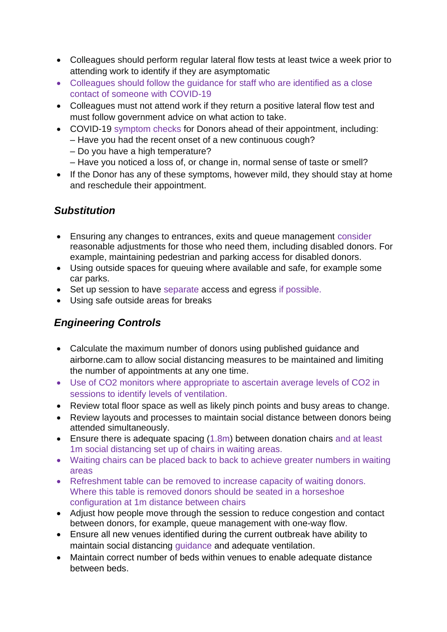- Colleagues should perform regular lateral flow tests at least twice a week prior to attending work to identify if they are asymptomatic
- Colleagues should follow the guidance for staff who are identified as a close contact of someone with COVID-19
- Colleagues must not attend work if they return a positive lateral flow test and must follow government advice on what action to take.
- COVID-19 symptom checks for Donors ahead of their appointment, including:
	- Have you had the recent onset of a new continuous cough?
	- Do you have a high temperature?
	- Have you noticed a loss of, or change in, normal sense of taste or smell?
- If the Donor has any of these symptoms, however mild, they should stay at home and reschedule their appointment.

## *Substitution*

- Ensuring any changes to entrances, exits and queue management consider reasonable adjustments for those who need them, including disabled donors. For example, maintaining pedestrian and parking access for disabled donors.
- Using outside spaces for queuing where available and safe, for example some car parks.
- Set up session to have separate access and egress if possible.
- Using safe outside areas for breaks

# *Engineering Controls*

- Calculate the maximum number of donors using published guidance and airborne.cam to allow social distancing measures to be maintained and limiting the number of appointments at any one time.
- Use of CO2 monitors where appropriate to ascertain average levels of CO2 in sessions to identify levels of ventilation.
- Review total floor space as well as likely pinch points and busy areas to change.
- Review layouts and processes to maintain social distance between donors being attended simultaneously.
- Ensure there is adequate spacing (1.8m) between donation chairs and at least 1m social distancing set up of chairs in waiting areas.
- Waiting chairs can be placed back to back to achieve greater numbers in waiting areas
- Refreshment table can be removed to increase capacity of waiting donors. Where this table is removed donors should be seated in a horseshoe configuration at 1m distance between chairs
- Adjust how people move through the session to reduce congestion and contact between donors, for example, queue management with one-way flow.
- Ensure all new venues identified during the current outbreak have ability to maintain social distancing guidance and adequate ventilation.
- Maintain correct number of beds within venues to enable adequate distance between beds.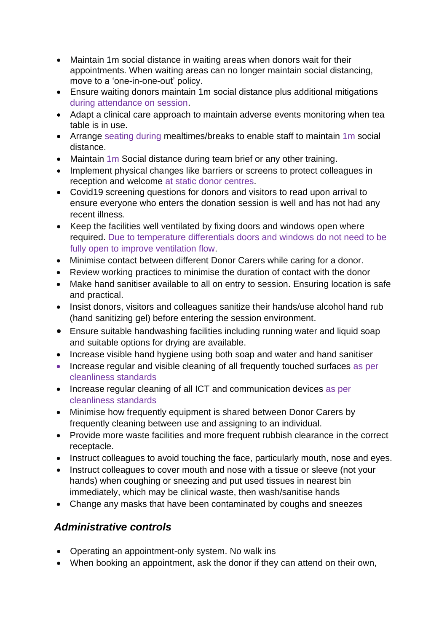- Maintain 1m social distance in waiting areas when donors wait for their appointments. When waiting areas can no longer maintain social distancing, move to a 'one-in-one-out' policy.
- Ensure waiting donors maintain 1m social distance plus additional mitigations during attendance on session.
- Adapt a clinical care approach to maintain adverse events monitoring when tea table is in use.
- Arrange seating during mealtimes/breaks to enable staff to maintain 1m social distance.
- Maintain 1m Social distance during team brief or any other training.
- Implement physical changes like barriers or screens to protect colleagues in reception and welcome at static donor centres.
- Covid19 screening questions for donors and visitors to read upon arrival to ensure everyone who enters the donation session is well and has not had any recent illness.
- Keep the facilities well ventilated by fixing doors and windows open where required. Due to temperature differentials doors and windows do not need to be fully open to improve ventilation flow.
- Minimise contact between different Donor Carers while caring for a donor.
- Review working practices to minimise the duration of contact with the donor
- Make hand sanitiser available to all on entry to session. Ensuring location is safe and practical.
- Insist donors, visitors and colleagues sanitize their hands/use alcohol hand rub (hand sanitizing gel) before entering the session environment.
- Ensure suitable handwashing facilities including running water and liquid soap and suitable options for drying are available.
- Increase visible hand hygiene using both soap and water and hand sanitiser
- Increase regular and visible cleaning of all frequently touched surfaces as per cleanliness standards
- Increase regular cleaning of all ICT and communication devices as per cleanliness standards
- Minimise how frequently equipment is shared between Donor Carers by frequently cleaning between use and assigning to an individual.
- Provide more waste facilities and more frequent rubbish clearance in the correct receptacle.
- Instruct colleagues to avoid touching the face, particularly mouth, nose and eyes.
- Instruct colleagues to cover mouth and nose with a tissue or sleeve (not your hands) when coughing or sneezing and put used tissues in nearest bin immediately, which may be clinical waste, then wash/sanitise hands
- Change any masks that have been contaminated by coughs and sneezes

## *Administrative controls*

- Operating an appointment-only system. No walk ins
- When booking an appointment, ask the donor if they can attend on their own,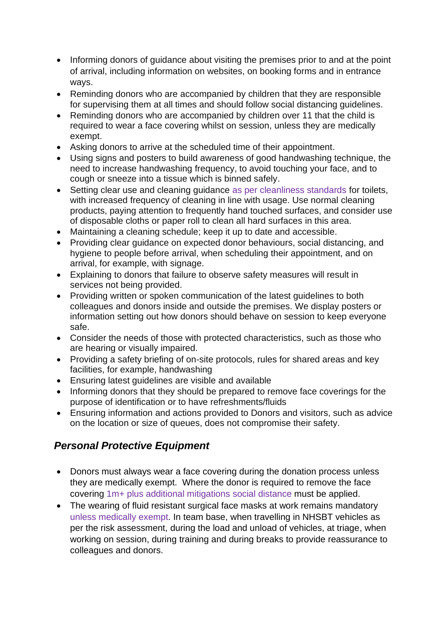- Informing donors of guidance about visiting the premises prior to and at the point of arrival, including information on websites, on booking forms and in entrance ways.
- Reminding donors who are accompanied by children that they are responsible for supervising them at all times and should follow social distancing guidelines.
- Reminding donors who are accompanied by children over 11 that the child is required to wear a face covering whilst on session, unless they are medically exempt.
- Asking donors to arrive at the scheduled time of their appointment.
- Using signs and posters to build awareness of good handwashing technique, the need to increase handwashing frequency, to avoid touching your face, and to cough or sneeze into a tissue which is binned safely.
- Setting clear use and cleaning guidance as per cleanliness standards for toilets, with increased frequency of cleaning in line with usage. Use normal cleaning products, paying attention to frequently hand touched surfaces, and consider use of disposable cloths or paper roll to clean all hard surfaces in this area.
- Maintaining a cleaning schedule; keep it up to date and accessible.
- Providing clear guidance on expected donor behaviours, social distancing, and hygiene to people before arrival, when scheduling their appointment, and on arrival, for example, with signage.
- Explaining to donors that failure to observe safety measures will result in services not being provided.
- Providing written or spoken communication of the latest guidelines to both colleagues and donors inside and outside the premises. We display posters or information setting out how donors should behave on session to keep everyone safe.
- Consider the needs of those with protected characteristics, such as those who are hearing or visually impaired.
- Providing a safety briefing of on-site protocols, rules for shared areas and key facilities, for example, handwashing
- Ensuring latest guidelines are visible and available
- Informing donors that they should be prepared to remove face coverings for the purpose of identification or to have refreshments/fluids
- Ensuring information and actions provided to Donors and visitors, such as advice on the location or size of queues, does not compromise their safety.

## *Personal Protective Equipment*

- Donors must always wear a face covering during the donation process unless they are medically exempt. Where the donor is required to remove the face covering 1m+ plus additional mitigations social distance must be applied.
- The wearing of fluid resistant surgical face masks at work remains mandatory unless medically exempt. In team base, when travelling in NHSBT vehicles as per the risk assessment, during the load and unload of vehicles, at triage, when working on session, during training and during breaks to provide reassurance to colleagues and donors.